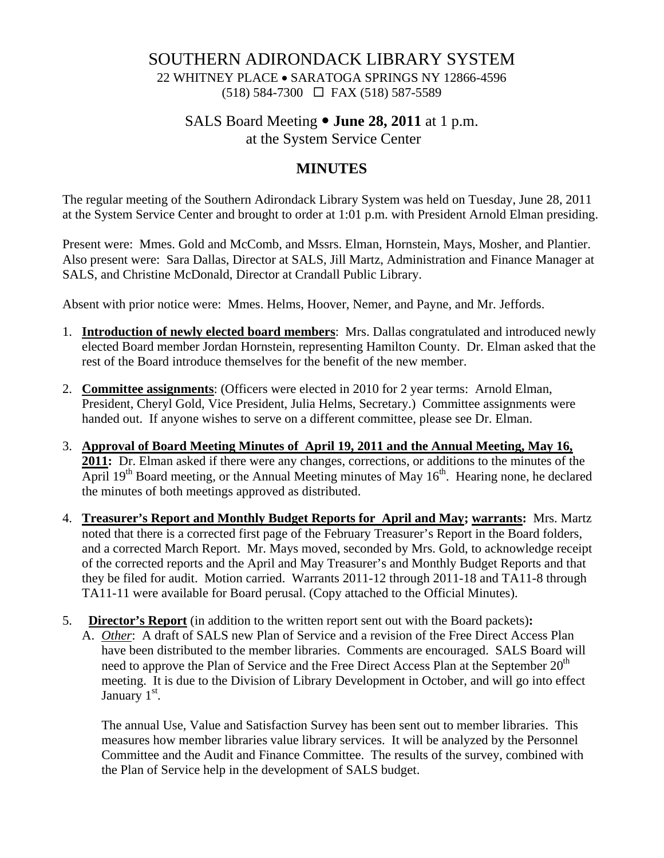# SOUTHERN ADIRONDACK LIBRARY SYSTEM

22 WHITNEY PLACE • SARATOGA SPRINGS NY 12866-4596 (518) 584-7300 FAX (518) 587-5589

# SALS Board Meeting  $\bullet$  **June 28, 2011** at 1 p.m. at the System Service Center

# **MINUTES**

The regular meeting of the Southern Adirondack Library System was held on Tuesday, June 28, 2011 at the System Service Center and brought to order at 1:01 p.m. with President Arnold Elman presiding.

Present were: Mmes. Gold and McComb, and Mssrs. Elman, Hornstein, Mays, Mosher, and Plantier. Also present were: Sara Dallas, Director at SALS, Jill Martz, Administration and Finance Manager at SALS, and Christine McDonald, Director at Crandall Public Library.

Absent with prior notice were: Mmes. Helms, Hoover, Nemer, and Payne, and Mr. Jeffords.

- 1. **Introduction of newly elected board members**: Mrs. Dallas congratulated and introduced newly elected Board member Jordan Hornstein, representing Hamilton County. Dr. Elman asked that the rest of the Board introduce themselves for the benefit of the new member.
- 2. **Committee assignments**: (Officers were elected in 2010 for 2 year terms: Arnold Elman, President, Cheryl Gold, Vice President, Julia Helms, Secretary.) Committee assignments were handed out. If anyone wishes to serve on a different committee, please see Dr. Elman.
- 3. **Approval of Board Meeting Minutes of April 19, 2011 and the Annual Meeting, May 16, 2011:** Dr. Elman asked if there were any changes, corrections, or additions to the minutes of the April  $19<sup>th</sup>$  Board meeting, or the Annual Meeting minutes of May  $16<sup>th</sup>$ . Hearing none, he declared the minutes of both meetings approved as distributed.
- 4. **Treasurer's Report and Monthly Budget Reports for April and May; warrants:** Mrs. Martz noted that there is a corrected first page of the February Treasurer's Report in the Board folders, and a corrected March Report. Mr. Mays moved, seconded by Mrs. Gold, to acknowledge receipt of the corrected reports and the April and May Treasurer's and Monthly Budget Reports and that they be filed for audit. Motion carried. Warrants 2011-12 through 2011-18 and TA11-8 through TA11-11 were available for Board perusal. (Copy attached to the Official Minutes).
- 5. **Director's Report** (in addition to the written report sent out with the Board packets)**:** A. *Other*: A draft of SALS new Plan of Service and a revision of the Free Direct Access Plan have been distributed to the member libraries. Comments are encouraged. SALS Board will need to approve the Plan of Service and the Free Direct Access Plan at the September  $20<sup>th</sup>$ meeting. It is due to the Division of Library Development in October, and will go into effect January 1<sup>st</sup>.

The annual Use, Value and Satisfaction Survey has been sent out to member libraries. This measures how member libraries value library services. It will be analyzed by the Personnel Committee and the Audit and Finance Committee. The results of the survey, combined with the Plan of Service help in the development of SALS budget.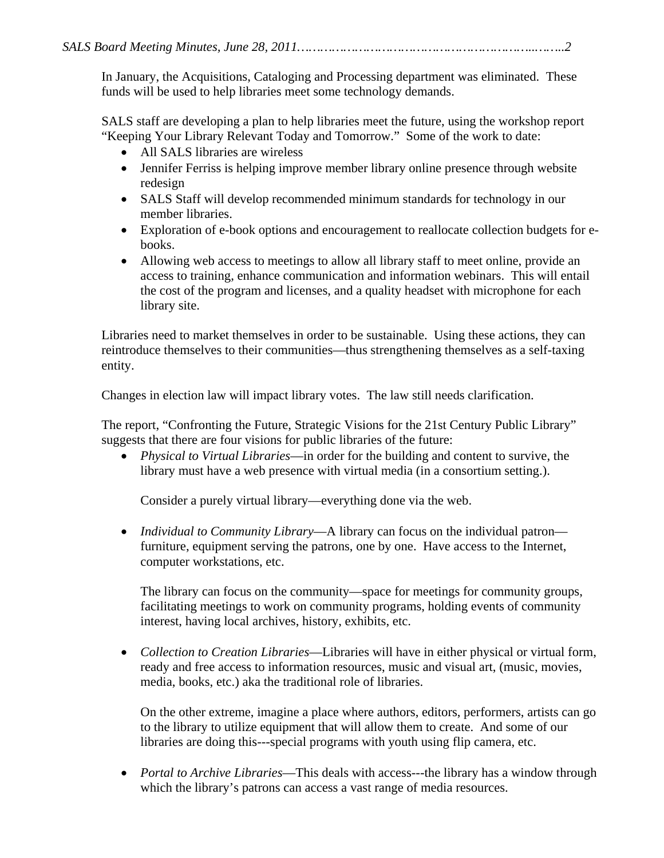In January, the Acquisitions, Cataloging and Processing department was eliminated. These funds will be used to help libraries meet some technology demands.

SALS staff are developing a plan to help libraries meet the future, using the workshop report "Keeping Your Library Relevant Today and Tomorrow." Some of the work to date:

- All SALS libraries are wireless
- Jennifer Ferriss is helping improve member library online presence through website redesign
- SALS Staff will develop recommended minimum standards for technology in our member libraries.
- Exploration of e-book options and encouragement to reallocate collection budgets for ebooks.
- Allowing web access to meetings to allow all library staff to meet online, provide an access to training, enhance communication and information webinars. This will entail the cost of the program and licenses, and a quality headset with microphone for each library site.

Libraries need to market themselves in order to be sustainable. Using these actions, they can reintroduce themselves to their communities—thus strengthening themselves as a self-taxing entity.

Changes in election law will impact library votes. The law still needs clarification.

The report, "Confronting the Future, Strategic Visions for the 21st Century Public Library" suggests that there are four visions for public libraries of the future:

• *Physical to Virtual Libraries*—in order for the building and content to survive, the library must have a web presence with virtual media (in a consortium setting.).

Consider a purely virtual library—everything done via the web.

• *Individual to Community Library—A library* can focus on the individual patron furniture, equipment serving the patrons, one by one. Have access to the Internet, computer workstations, etc.

The library can focus on the community—space for meetings for community groups, facilitating meetings to work on community programs, holding events of community interest, having local archives, history, exhibits, etc.

• *Collection to Creation Libraries*—Libraries will have in either physical or virtual form, ready and free access to information resources, music and visual art, (music, movies, media, books, etc.) aka the traditional role of libraries.

On the other extreme, imagine a place where authors, editors, performers, artists can go to the library to utilize equipment that will allow them to create. And some of our libraries are doing this---special programs with youth using flip camera, etc.

• *Portal to Archive Libraries*—This deals with access---the library has a window through which the library's patrons can access a vast range of media resources.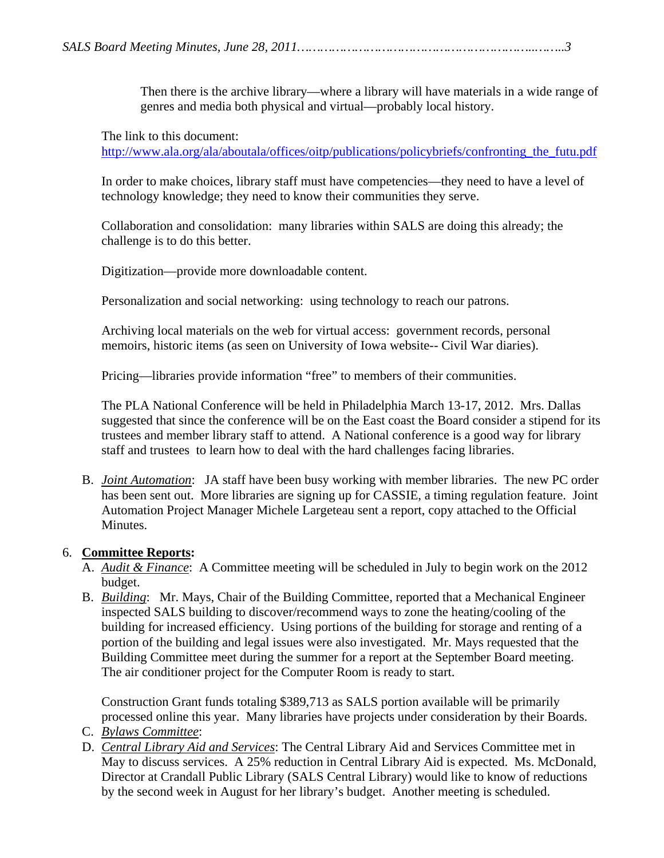Then there is the archive library—where a library will have materials in a wide range of genres and media both physical and virtual—probably local history.

The link to this document:

http://www.ala.org/ala/aboutala/offices/oitp/publications/policybriefs/confronting\_the\_futu.pdf

In order to make choices, library staff must have competencies—they need to have a level of technology knowledge; they need to know their communities they serve.

 Collaboration and consolidation: many libraries within SALS are doing this already; the challenge is to do this better.

Digitization—provide more downloadable content.

Personalization and social networking: using technology to reach our patrons.

 Archiving local materials on the web for virtual access: government records, personal memoirs, historic items (as seen on University of Iowa website-- Civil War diaries).

Pricing—libraries provide information "free" to members of their communities.

The PLA National Conference will be held in Philadelphia March 13-17, 2012. Mrs. Dallas suggested that since the conference will be on the East coast the Board consider a stipend for its trustees and member library staff to attend. A National conference is a good way for library staff and trustees to learn how to deal with the hard challenges facing libraries.

B. *Joint Automation*: JA staff have been busy working with member libraries. The new PC order has been sent out. More libraries are signing up for CASSIE, a timing regulation feature. Joint Automation Project Manager Michele Largeteau sent a report, copy attached to the Official Minutes.

# 6. **Committee Reports:**

- A. *Audit & Finance*: A Committee meeting will be scheduled in July to begin work on the 2012 budget.
- B. *Building*: Mr. Mays, Chair of the Building Committee, reported that a Mechanical Engineer inspected SALS building to discover/recommend ways to zone the heating/cooling of the building for increased efficiency. Using portions of the building for storage and renting of a portion of the building and legal issues were also investigated. Mr. Mays requested that the Building Committee meet during the summer for a report at the September Board meeting. The air conditioner project for the Computer Room is ready to start.

Construction Grant funds totaling \$389,713 as SALS portion available will be primarily processed online this year. Many libraries have projects under consideration by their Boards.

- C. *Bylaws Committee*:
- D. *Central Library Aid and Services*: The Central Library Aid and Services Committee met in May to discuss services. A 25% reduction in Central Library Aid is expected. Ms. McDonald, Director at Crandall Public Library (SALS Central Library) would like to know of reductions by the second week in August for her library's budget. Another meeting is scheduled.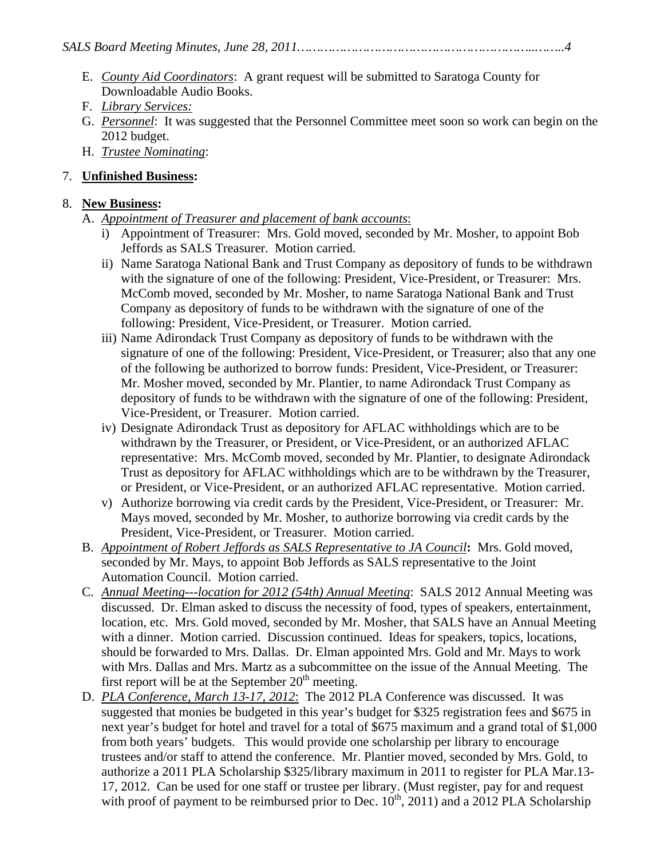- E. *County Aid Coordinators*: A grant request will be submitted to Saratoga County for Downloadable Audio Books.
- F. *Library Services:*
- G. *Personnel*: It was suggested that the Personnel Committee meet soon so work can begin on the 2012 budget.
- H. *Trustee Nominating*:

# 7. **Unfinished Business:**

### 8. **New Business:**

# A. *Appointment of Treasurer and placement of bank accounts*:

- i) Appointment of Treasurer: Mrs. Gold moved, seconded by Mr. Mosher, to appoint Bob Jeffords as SALS Treasurer. Motion carried.
- ii) Name Saratoga National Bank and Trust Company as depository of funds to be withdrawn with the signature of one of the following: President, Vice-President, or Treasurer: Mrs. McComb moved, seconded by Mr. Mosher, to name Saratoga National Bank and Trust Company as depository of funds to be withdrawn with the signature of one of the following: President, Vice-President, or Treasurer. Motion carried.
- iii) Name Adirondack Trust Company as depository of funds to be withdrawn with the signature of one of the following: President, Vice-President, or Treasurer; also that any one of the following be authorized to borrow funds: President, Vice-President, or Treasurer: Mr. Mosher moved, seconded by Mr. Plantier, to name Adirondack Trust Company as depository of funds to be withdrawn with the signature of one of the following: President, Vice-President, or Treasurer. Motion carried.
- iv) Designate Adirondack Trust as depository for AFLAC withholdings which are to be withdrawn by the Treasurer, or President, or Vice-President, or an authorized AFLAC representative: Mrs. McComb moved, seconded by Mr. Plantier, to designate Adirondack Trust as depository for AFLAC withholdings which are to be withdrawn by the Treasurer, or President, or Vice-President, or an authorized AFLAC representative. Motion carried.
- v) Authorize borrowing via credit cards by the President, Vice-President, or Treasurer: Mr. Mays moved, seconded by Mr. Mosher, to authorize borrowing via credit cards by the President, Vice-President, or Treasurer. Motion carried.
- B. *Appointment of Robert Jeffords as SALS Representative to JA Council***:** Mrs. Gold moved, seconded by Mr. Mays, to appoint Bob Jeffords as SALS representative to the Joint Automation Council. Motion carried.
- C. *Annual Meeting---location for 2012 (54th) Annual Meeting*: SALS 2012 Annual Meeting was discussed. Dr. Elman asked to discuss the necessity of food, types of speakers, entertainment, location, etc. Mrs. Gold moved, seconded by Mr. Mosher, that SALS have an Annual Meeting with a dinner. Motion carried. Discussion continued. Ideas for speakers, topics, locations, should be forwarded to Mrs. Dallas. Dr. Elman appointed Mrs. Gold and Mr. Mays to work with Mrs. Dallas and Mrs. Martz as a subcommittee on the issue of the Annual Meeting. The first report will be at the September  $20<sup>th</sup>$  meeting.
- D. *PLA Conference, March 13-17, 2012*: The 2012 PLA Conference was discussed. It was suggested that monies be budgeted in this year's budget for \$325 registration fees and \$675 in next year's budget for hotel and travel for a total of \$675 maximum and a grand total of \$1,000 from both years' budgets. This would provide one scholarship per library to encourage trustees and/or staff to attend the conference. Mr. Plantier moved, seconded by Mrs. Gold, to authorize a 2011 PLA Scholarship \$325/library maximum in 2011 to register for PLA Mar.13- 17, 2012. Can be used for one staff or trustee per library. (Must register, pay for and request with proof of payment to be reimbursed prior to Dec.  $10^{th}$ , 2011) and a 2012 PLA Scholarship